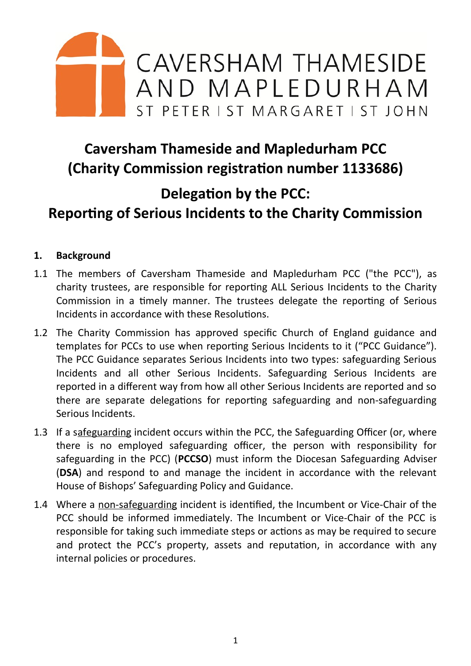

# **Caversham Thameside and Mapledurham PCC (Charity Commission registration number 1133686)**

# **Delegation by the PCC:**

# **Reporting of Serious Incidents to the Charity Commission**

#### **1. Background**

- 1.1 The members of Caversham Thameside and Mapledurham PCC ("the PCC"), as charity trustees, are responsible for reporting ALL Serious Incidents to the Charity Commission in a timely manner. The trustees delegate the reporting of Serious Incidents in accordance with these Resolutions.
- 1.2 The Charity Commission has approved specific Church of England guidance and templates for PCCs to use when reporting Serious Incidents to it ("PCC Guidance"). The PCC Guidance separates Serious Incidents into two types: safeguarding Serious Incidents and all other Serious Incidents. Safeguarding Serious Incidents are reported in a different way from how all other Serious Incidents are reported and so there are separate delegations for reporting safeguarding and non-safeguarding Serious Incidents.
- 1.3 If a safeguarding incident occurs within the PCC, the Safeguarding Officer (or, where there is no employed safeguarding officer, the person with responsibility for safeguarding in the PCC) (**PCCSO**) must inform the Diocesan Safeguarding Adviser (**DSA**) and respond to and manage the incident in accordance with the relevant House of Bishops' Safeguarding Policy and Guidance.
- 1.4 Where a non-safeguarding incident is identified, the Incumbent or Vice-Chair of the PCC should be informed immediately. The Incumbent or Vice-Chair of the PCC is responsible for taking such immediate steps or actions as may be required to secure and protect the PCC's property, assets and reputation, in accordance with any internal policies or procedures.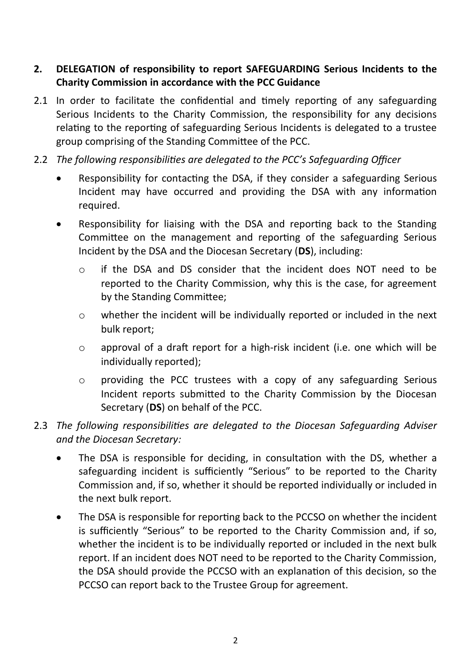### **2. DELEGATION of responsibility to report SAFEGUARDING Serious Incidents to the Charity Commission in accordance with the PCC Guidance**

- 2.1 In order to facilitate the confidential and timely reporting of any safeguarding Serious Incidents to the Charity Commission, the responsibility for any decisions relating to the reporting of safeguarding Serious Incidents is delegated to a trustee group comprising of the Standing Committee of the PCC.
- 2.2 *The following responsibilities are delegated to the PCC's Safeguarding Officer*
	- Responsibility for contacting the DSA, if they consider a safeguarding Serious Incident may have occurred and providing the DSA with any information required.
	- Responsibility for liaising with the DSA and reporting back to the Standing Committee on the management and reporting of the safeguarding Serious Incident by the DSA and the Diocesan Secretary (**DS**), including:
		- o if the DSA and DS consider that the incident does NOT need to be reported to the Charity Commission, why this is the case, for agreement by the Standing Committee;
		- o whether the incident will be individually reported or included in the next bulk report;
		- o approval of a draft report for a high-risk incident (i.e. one which will be individually reported);
		- o providing the PCC trustees with a copy of any safeguarding Serious Incident reports submitted to the Charity Commission by the Diocesan Secretary (**DS**) on behalf of the PCC.

### 2.3 *The following responsibilities are delegated to the Diocesan Safeguarding Adviser and the Diocesan Secretary:*

- The DSA is responsible for deciding, in consultation with the DS, whether a safeguarding incident is sufficiently "Serious" to be reported to the Charity Commission and, if so, whether it should be reported individually or included in the next bulk report.
- The DSA is responsible for reporting back to the PCCSO on whether the incident is sufficiently "Serious" to be reported to the Charity Commission and, if so, whether the incident is to be individually reported or included in the next bulk report. If an incident does NOT need to be reported to the Charity Commission, the DSA should provide the PCCSO with an explanation of this decision, so the PCCSO can report back to the Trustee Group for agreement.